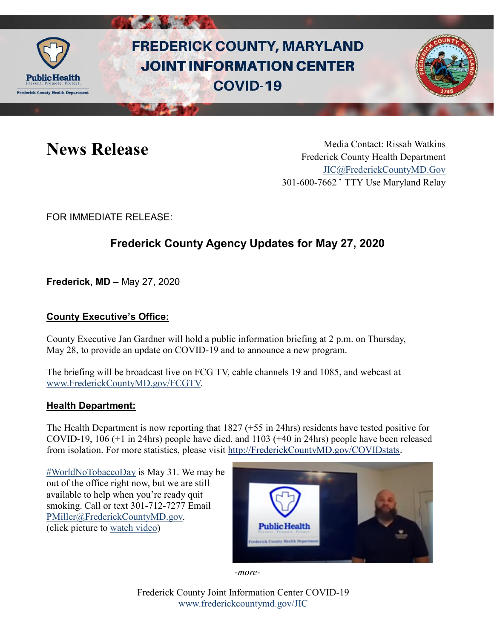

# **FREDERICK COUNTY, MARYLAND JOINT INFORMATION CENTER COVID-19**

News Release Media Contact: Rissah Watkins Frederick County Health Department [JIC@FrederickCountyMD.Gov](mailto:JIC@FrederickCountyMD.Gov) 301-600-7662 • TTY Use Maryland Relay

FOR IMMEDIATE RELEASE:

## **Frederick County Agency Updates for May 27, 2020**

**Frederick, MD –** May 27, 2020

#### **County Executive's Office:**

County Executive Jan Gardner will hold a public information briefing at 2 p.m. on Thursday, May 28, to provide an update on COVID-19 and to announce a new program.

The briefing will be broadcast live on FCG TV, cable channels 19 and 1085, and webcast at [www.FrederickCountyMD.gov/FCGTV.](http://www.frederickcountymd.gov/FCGTV)

#### **Health Department:**

The Health Department is now reporting that 1827 (+55 in 24hrs) residents have tested positive for COVID-19, 106 (+1 in 24hrs) people have died, and 1103 (+40 in 24hrs) people have been released from isolation. For more statistics, please visit [http://FrederickCountyMD.gov/COVIDstats](http://frederickcountymd.gov/COVIDstats).

[#WorldNoTobaccoDay](https://www.facebook.com/hashtag/worldnotobaccoday?__eep__=6&source=feed_text&epa=HASHTAG&__xts__%5B0%5D=68.ARBz21n_sra1I3ccZ8u6HCl4K3R1ge303ZQ77FAljSSSblRngdcw10LPBRVxjjM2FE2f_PpmZsGX3gpqYiQntqafNN8gicL2jE1IAK_EcqSnfjwtlFGyb6SGcSjklbooL3FMeTd61230RO_Dr4_q7_2AwPxrllC7gyeLaNIksUZKskrKZQFd_yamebFBENM5jubNZYC4nwRbYDQMVMM807A2eJlGMJzpUuOJ2L4OhUCns1m0BzTUjmYNUSj0OtX91ucqiGH2PB-klFL1LaFEgkb2IPHJYf_wS1LNyrSf8As2VdCLj1DA4YSC7ClQxHl3kAnYeydFGoovfrOa44lY6Uxi2Iu93JzSNVo-cA&__tn__=%2ANK-R) is May 31. We may be out of the office right now, but we are still available to help when you're ready quit smoking. Call or text 301-712-7277 Email [PMiller@FrederickCountyMD.gov.](mailto:PMiller@FrederickCountyMD.gov) (click picture to [watch video\)](https://youtu.be/gxHZHughfoQ)



*-more-*

Frederick County Joint Information Center COVID-19 [www.frederickcountymd.gov/JIC](https://frederickcountymd.gov/JIC)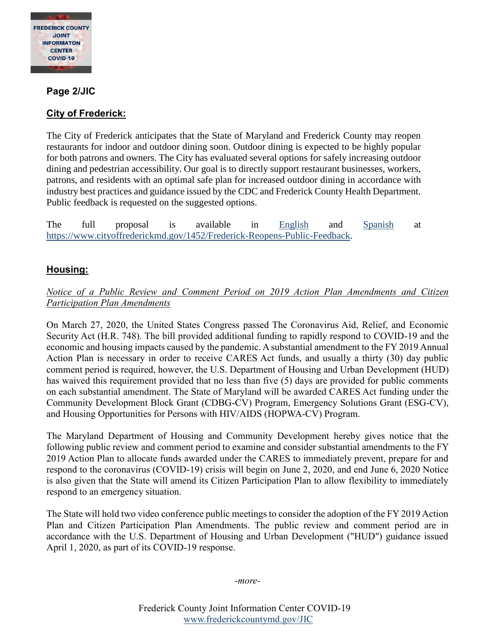

#### **Page 2/JIC**

#### **City of Frederick:**

The City of Frederick anticipates that the State of Maryland and Frederick County may reopen restaurants for indoor and outdoor dining soon. Outdoor dining is expected to be highly popular for both patrons and owners. The City has evaluated several options for safely increasing outdoor dining and pedestrian accessibility. Our goal is to directly support restaurant businesses, workers, patrons, and residents with an optimal safe plan for increased outdoor dining in accordance with industry best practices and guidance issued by the CDC and Frederick County Health Department. Public feedback is requested on the suggested options.

The full proposal is available in [English](https://www.cityoffrederickmd.gov/DocumentCenter/View/18014/FINAL-OUTDOOR-OPTIONS-REPORT-05272020?bidId=) and [Spanish](https://www.cityoffrederickmd.gov/DocumentCenter/View/18015/FINAL-OUTDOOR-OPTIONS-REPORT-Spanish?bidId=) at [https://www.cityoffrederickmd.gov/1452/Frederick-Reopens-Public-Feedback.](https://www.cityoffrederickmd.gov/1452/Frederick-Reopens-Public-Feedback)

### **Housing:**

#### *Notice of a Public Review and Comment Period on 2019 Action Plan Amendments and Citizen Participation Plan Amendments*

On March 27, 2020, the United States Congress passed The Coronavirus Aid, Relief, and Economic Security Act (H.R. 748). The bill provided additional funding to rapidly respond to COVID-19 and the economic and housing impacts caused by the pandemic. A substantial amendment to the FY 2019 Annual Action Plan is necessary in order to receive CARES Act funds, and usually a thirty (30) day public comment period is required, however, the U.S. Department of Housing and Urban Development (HUD) has waived this requirement provided that no less than five (5) days are provided for public comments on each substantial amendment. The State of Maryland will be awarded CARES Act funding under the Community Development Block Grant (CDBG-CV) Program, Emergency Solutions Grant (ESG-CV), and Housing Opportunities for Persons with HIV/AIDS (HOPWA-CV) Program.

The Maryland Department of Housing and Community Development hereby gives notice that the following public review and comment period to examine and consider substantial amendments to the FY 2019 Action Plan to allocate funds awarded under the CARES to immediately prevent, prepare for and respond to the coronavirus (COVID-19) crisis will begin on June 2, 2020, and end June 6, 2020 Notice is also given that the State will amend its Citizen Participation Plan to allow flexibility to immediately respond to an emergency situation.

The State will hold two video conference public meetings to consider the adoption of the FY 2019 Action Plan and Citizen Participation Plan Amendments. The public review and comment period are in accordance with the U.S. Department of Housing and Urban Development ("HUD") guidance issued April 1, 2020, as part of its COVID-19 response.

*-more-*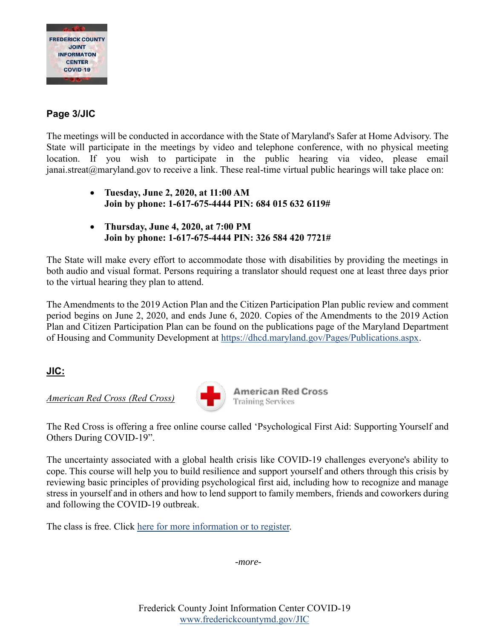

#### **Page 3/JIC**

The meetings will be conducted in accordance with the State of Maryland's Safer at Home Advisory. The State will participate in the meetings by video and telephone conference, with no physical meeting location. If you wish to participate in the public hearing via video, please email  $janai.streat@maryland.gov$  to receive a link. These real-time virtual public hearings will take place on:

- **Tuesday, June 2, 2020, at 11:00 AM Join by phone: 1-617-675-4444 PIN: 684 015 632 6119#**
- **Thursday, June 4, 2020, at 7:00 PM Join by phone: 1-617-675-4444 PIN: 326 584 420 7721#**

The State will make every effort to accommodate those with disabilities by providing the meetings in both audio and visual format. Persons requiring a translator should request one at least three days prior to the virtual hearing they plan to attend.

The Amendments to the 2019 Action Plan and the Citizen Participation Plan public review and comment period begins on June 2, 2020, and ends June 6, 2020. Copies of the Amendments to the 2019 Action Plan and Citizen Participation Plan can be found on the publications page of the Maryland Department of Housing and Community Development at [https://dhcd.maryland.gov/Pages/Publications.aspx.](https://dhcd.maryland.gov/Pages/Publications.aspx)

#### **JIC:**

*American Red Cross (Red Cross)*



**American Red Cross Training Services** 

The Red Cross is offering a free online course called 'Psychological First Aid: Supporting Yourself and Others During COVID-19".

The uncertainty associated with a global health crisis like COVID-19 challenges everyone's ability to cope. This course will help you to build resilience and support yourself and others through this crisis by reviewing basic principles of providing psychological first aid, including how to recognize and manage stress in yourself and in others and how to lend support to family members, friends and coworkers during and following the COVID-19 outbreak.

The class is free. Click [here for more information or to register.](https://www.redcross.org/take-a-class/classes/psychological-first-aid%3A-supporting-yourself-and-others-during-covid-19/a6R3o0000014ZIg.html)

*-more-*

Frederick County Joint Information Center COVID-19 [www.frederickcountymd.gov/JIC](https://frederickcountymd.gov/JIC)